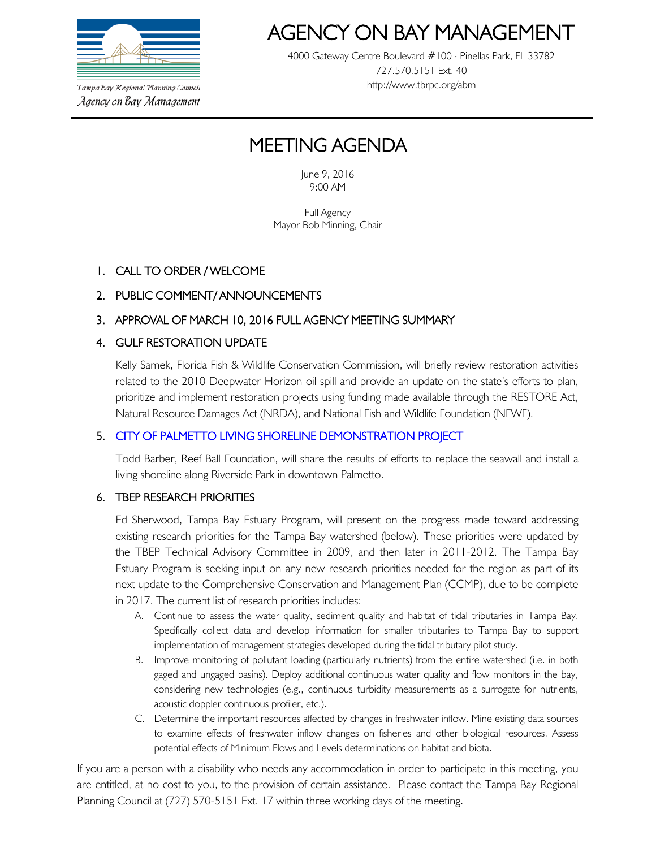

Tampa Bay Regional Planning Council Agency on Bay Management

# AGENCY ON BAY MANAGEMEN<br>4000 Gateway Centre Boulevard #100 ⋅ Pinellas Park, FL 33782

727.570.5151 Ext. 40 http://www.tbrpc.org/abm

# MEETING AGENDA

June 9, 2016 9:00 AM

Full Agency Mayor Bob Minning, Chair

## 1. CALL TO ORDER / WELCOME

## 2. PUBLIC COMMENT/ ANNOUNCEMENTS

## 3. APPROVAL OF MARCH 10, 2016 FULL AGENCY MEETING SUMMARY

#### 4. GULF RESTORATION UPDATE

Kelly Samek, Florida Fish & Wildlife Conservation Commission, will briefly review restoration activities related to the 2010 Deepwater Horizon oil spill and provide an update on the state's efforts to plan, prioritize and implement restoration projects using funding made available through the RESTORE Act, Natural Resource Damages Act (NRDA), and National Fish and Wildlife Foundation (NFWF).

#### 5. [CITY OF PALMETTO LIVING SHORELINE DEMONSTRATION PROJECT](http://www.palmettofl.org/Blog.aspx?IID=8)

Todd Barber, Reef Ball Foundation, will share the results of efforts to replace the seawall and install a living shoreline along Riverside Park in downtown Palmetto.

#### 6. TBEP RESEARCH PRIORITIES

Ed Sherwood, Tampa Bay Estuary Program, will present on the progress made toward addressing existing research priorities for the Tampa Bay watershed (below). These priorities were updated by the TBEP Technical Advisory Committee in 2009, and then later in 2011-2012. The Tampa Bay Estuary Program is seeking input on any new research priorities needed for the region as part of its next update to the Comprehensive Conservation and Management Plan (CCMP), due to be complete in 2017. The current list of research priorities includes:

- A. Continue to assess the water quality, sediment quality and habitat of tidal tributaries in Tampa Bay. Specifically collect data and develop information for smaller tributaries to Tampa Bay to support implementation of management strategies developed during the tidal tributary pilot study.
- B. Improve monitoring of pollutant loading (particularly nutrients) from the entire watershed (i.e. in both gaged and ungaged basins). Deploy additional continuous water quality and flow monitors in the bay, considering new technologies (e.g., continuous turbidity measurements as a surrogate for nutrients, acoustic doppler continuous profiler, etc.).
- C. Determine the important resources affected by changes in freshwater inflow. Mine existing data sources to examine effects of freshwater inflow changes on fisheries and other biological resources. Assess potential effects of Minimum Flows and Levels determinations on habitat and biota.

If you are a person with a disability who needs any accommodation in order to participate in this meeting, you are entitled, at no cost to you, to the provision of certain assistance. Please contact the Tampa Bay Regional Planning Council at (727) 570-5151 Ext. 17 within three working days of the meeting.